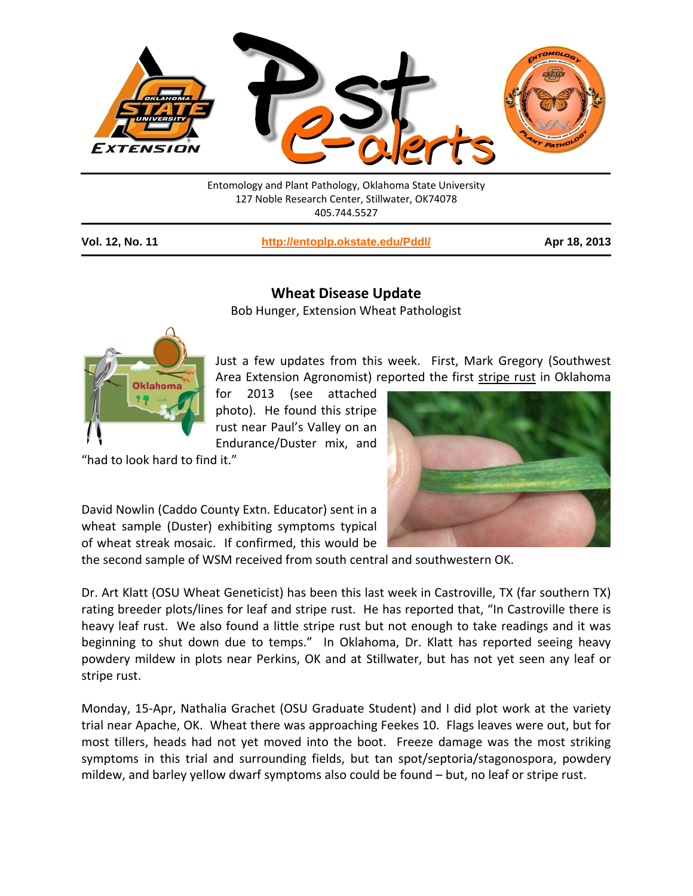

Entomology and Plant Pathology, Oklahoma State University 127 Noble Research Center, Stillwater, OK74078 405.744.5527

| <b>Vol. 12, No. 11</b> |  |  |  |
|------------------------|--|--|--|
|------------------------|--|--|--|

**Vol. 12, No. 11 <http://entoplp.okstate.edu/Pddl/> Apr 18, 2013**

## **Wheat Disease Update**

Bob Hunger, Extension Wheat Pathologist



Just a few updates from this week. First, Mark Gregory (Southwest Area Extension Agronomist) reported the first stripe rust in Oklahoma

for 2013 (see attached photo). He found this stripe rust near Paul's Valley on an Endurance/Duster mix, and

"had to look hard to find it."



David Nowlin (Caddo County Extn. Educator) sent in a wheat sample (Duster) exhibiting symptoms typical of wheat streak mosaic. If confirmed, this would be

the second sample of WSM received from south central and southwestern OK.

Dr. Art Klatt (OSU Wheat Geneticist) has been this last week in Castroville, TX (far southern TX) rating breeder plots/lines for leaf and stripe rust. He has reported that, "In Castroville there is heavy leaf rust. We also found a little stripe rust but not enough to take readings and it was beginning to shut down due to temps." In Oklahoma, Dr. Klatt has reported seeing heavy powdery mildew in plots near Perkins, OK and at Stillwater, but has not yet seen any leaf or stripe rust.

Monday, 15-Apr, Nathalia Grachet (OSU Graduate Student) and I did plot work at the variety trial near Apache, OK. Wheat there was approaching Feekes 10. Flags leaves were out, but for most tillers, heads had not yet moved into the boot. Freeze damage was the most striking symptoms in this trial and surrounding fields, but tan spot/septoria/stagonospora, powdery mildew, and barley yellow dwarf symptoms also could be found – but, no leaf or stripe rust.